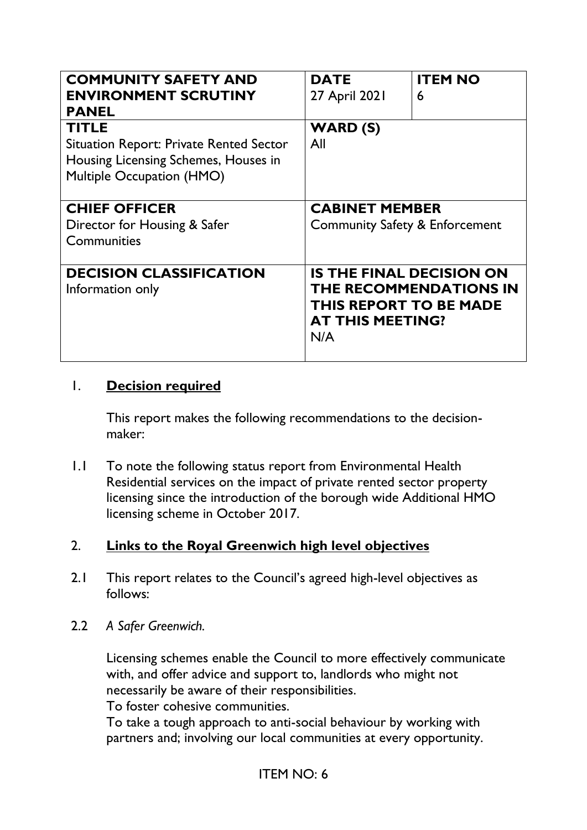| <b>COMMUNITY SAFETY AND</b><br><b>ENVIRONMENT SCRUTINY</b><br><b>PANEL</b>                                                          | <b>DATE</b><br>27 April 2021                                                                       | <b>ITEM NO</b><br>6           |
|-------------------------------------------------------------------------------------------------------------------------------------|----------------------------------------------------------------------------------------------------|-------------------------------|
| <b>TITLE</b><br><b>Situation Report: Private Rented Sector</b><br>Housing Licensing Schemes, Houses in<br>Multiple Occupation (HMO) | <b>WARD (S)</b><br>All                                                                             |                               |
| <b>CHIEF OFFICER</b><br>Director for Housing & Safer<br>Communities                                                                 | <b>CABINET MEMBER</b><br><b>Community Safety &amp; Enforcement</b>                                 |                               |
| <b>DECISION CLASSIFICATION</b><br>Information only                                                                                  | <b>IS THE FINAL DECISION ON</b><br><b>THIS REPORT TO BE MADE</b><br><b>AT THIS MEETING?</b><br>N/A | <b>THE RECOMMENDATIONS IN</b> |

# 1. **Decision required**

This report makes the following recommendations to the decisionmaker:

1.1 To note the following status report from Environmental Health Residential services on the impact of private rented sector property licensing since the introduction of the borough wide Additional HMO licensing scheme in October 2017.

# 2. **Links to the Royal Greenwich high level objectives**

- 2.1 This report relates to the Council's agreed high-level objectives as follows:
- 2.2 *A Safer Greenwich.*

Licensing schemes enable the Council to more effectively communicate with, and offer advice and support to, landlords who might not necessarily be aware of their responsibilities.

To foster cohesive communities.

To take a tough approach to anti-social behaviour by working with partners and; involving our local communities at every opportunity.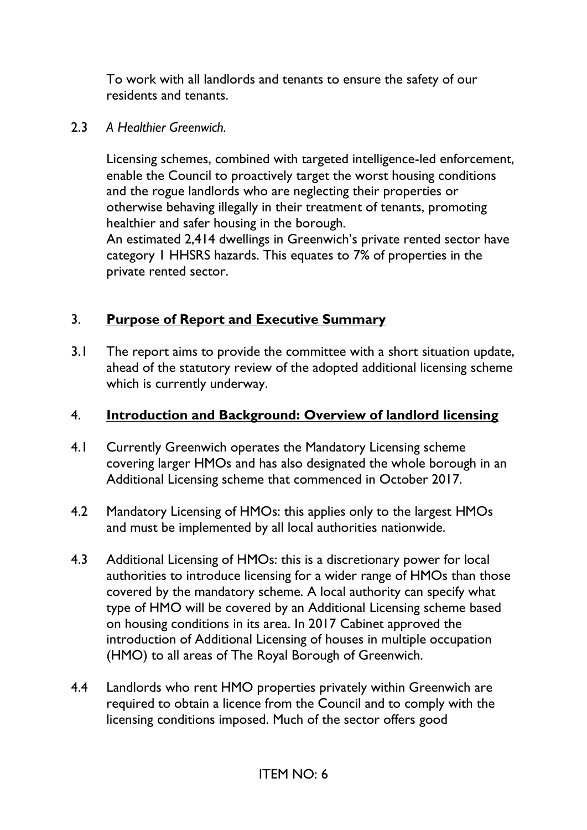To work with all landlords and tenants to ensure the safety of our residents and tenants.

#### 2.3 *A Healthier Greenwich.*

Licensing schemes, combined with targeted intelligence-led enforcement, enable the Council to proactively target the worst housing conditions and the rogue landlords who are neglecting their properties or otherwise behaving illegally in their treatment of tenants, promoting healthier and safer housing in the borough. An estimated 2,414 dwellings in Greenwich's private rented sector have

category 1 HHSRS hazards. This equates to 7% of properties in the private rented sector.

# 3. **Purpose of Report and Executive Summary**

3.1 The report aims to provide the committee with a short situation update, ahead of the statutory review of the adopted additional licensing scheme which is currently underway.

# 4. **Introduction and Background: Overview of landlord licensing**

- 4.1 Currently Greenwich operates the Mandatory Licensing scheme covering larger HMOs and has also designated the whole borough in an Additional Licensing scheme that commenced in October 2017.
- 4.2 Mandatory Licensing of HMOs: this applies only to the largest HMOs and must be implemented by all local authorities nationwide.
- 4.3 Additional Licensing of HMOs: this is a discretionary power for local authorities to introduce licensing for a wider range of HMOs than those covered by the mandatory scheme. A local authority can specify what type of HMO will be covered by an Additional Licensing scheme based on housing conditions in its area. In 2017 Cabinet approved the introduction of Additional Licensing of houses in multiple occupation (HMO) to all areas of The Royal Borough of Greenwich.
- 4.4 Landlords who rent HMO properties privately within Greenwich are required to obtain a licence from the Council and to comply with the licensing conditions imposed. Much of the sector offers good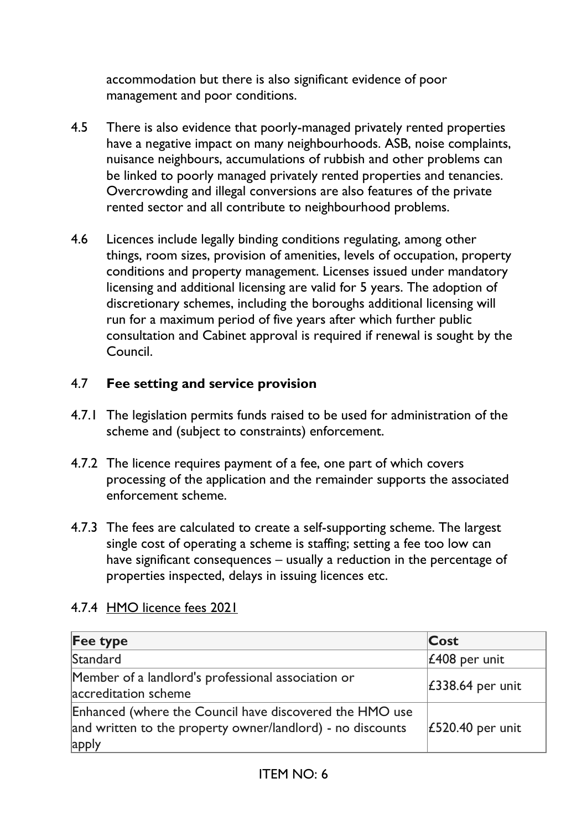accommodation but there is also significant evidence of poor management and poor conditions.

- 4.5 There is also evidence that poorly-managed privately rented properties have a negative impact on many neighbourhoods. ASB, noise complaints, nuisance neighbours, accumulations of rubbish and other problems can be linked to poorly managed privately rented properties and tenancies. Overcrowding and illegal conversions are also features of the private rented sector and all contribute to neighbourhood problems.
- 4.6 Licences include legally binding conditions regulating, among other things, room sizes, provision of amenities, levels of occupation, property conditions and property management. Licenses issued under mandatory licensing and additional licensing are valid for 5 years. The adoption of discretionary schemes, including the boroughs additional licensing will run for a maximum period of five years after which further public consultation and Cabinet approval is required if renewal is sought by the Council.

# 4.7 **Fee setting and service provision**

- 4.7.1 The legislation permits funds raised to be used for administration of the scheme and (subject to constraints) enforcement.
- 4.7.2 The licence requires payment of a fee, one part of which covers processing of the application and the remainder supports the associated enforcement scheme.
- 4.7.3 The fees are calculated to create a self-supporting scheme. The largest single cost of operating a scheme is staffing; setting a fee too low can have significant consequences – usually a reduction in the percentage of properties inspected, delays in issuing licences etc.

| <b>Fee type</b>                                                                                                                | Cost                      |
|--------------------------------------------------------------------------------------------------------------------------------|---------------------------|
| Standard                                                                                                                       | $\mathcal{L}408$ per unit |
| Member of a landlord's professional association or<br>accreditation scheme                                                     | £338.64 per unit          |
| Enhanced (where the Council have discovered the HMO use<br>and written to the property owner/landlord) - no discounts<br>apply | £520.40 per unit          |

#### 4.7.4 HMO licence fees 2021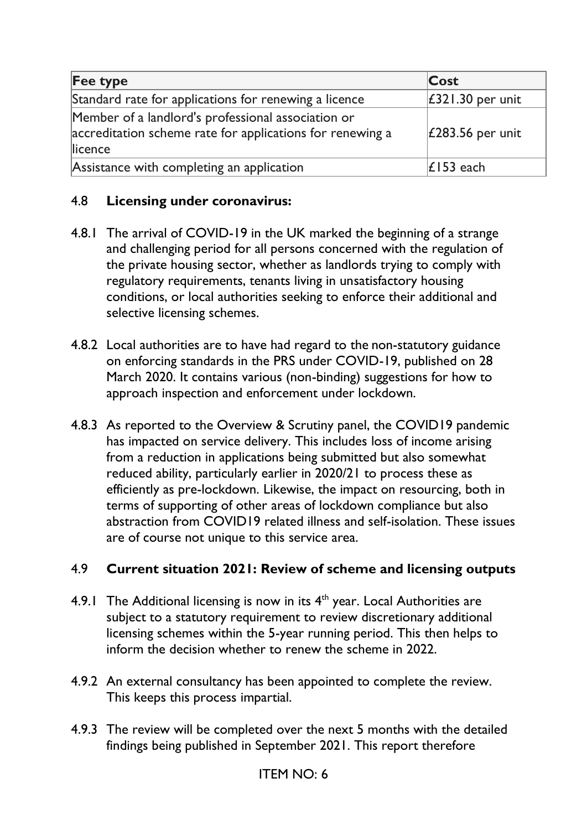| Fee type                                                                                                                   | Cost                     |
|----------------------------------------------------------------------------------------------------------------------------|--------------------------|
| Standard rate for applications for renewing a licence                                                                      | $\vert$ £321.30 per unit |
| Member of a landlord's professional association or<br>accreditation scheme rate for applications for renewing a<br>licence | £283.56 per unit         |
| Assistance with completing an application                                                                                  | $\mathsf{E}$ 153 each    |

# 4.8 **Licensing under coronavirus:**

- 4.8.1 The arrival of COVID-19 in the UK marked the beginning of a strange and challenging period for all persons concerned with the regulation of the private housing sector, whether as landlords trying to comply with regulatory requirements, tenants living in unsatisfactory housing conditions, or local authorities seeking to enforce their additional and selective licensing schemes.
- 4.8.2 Local authorities are to have had regard to the non-statutory guidance on enforcing standards in the PRS under COVID-19, published on 28 March 2020. It contains various (non-binding) suggestions for how to approach inspection and enforcement under lockdown.
- 4.8.3 As reported to the Overview & Scrutiny panel, the COVID19 pandemic has impacted on service delivery. This includes loss of income arising from a reduction in applications being submitted but also somewhat reduced ability, particularly earlier in 2020/21 to process these as efficiently as pre-lockdown. Likewise, the impact on resourcing, both in terms of supporting of other areas of lockdown compliance but also abstraction from COVID19 related illness and self-isolation. These issues are of course not unique to this service area.

# 4.9 **Current situation 2021: Review of scheme and licensing outputs**

- 4.9.1 The Additional licensing is now in its  $4<sup>th</sup>$  year. Local Authorities are subject to a statutory requirement to review discretionary additional licensing schemes within the 5-year running period. This then helps to inform the decision whether to renew the scheme in 2022.
- 4.9.2 An external consultancy has been appointed to complete the review. This keeps this process impartial.
- 4.9.3 The review will be completed over the next 5 months with the detailed findings being published in September 2021. This report therefore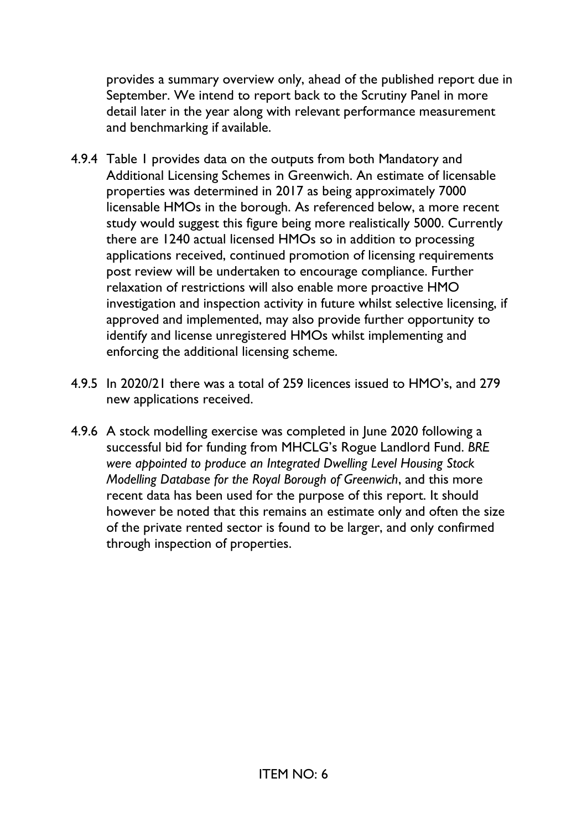provides a summary overview only, ahead of the published report due in September. We intend to report back to the Scrutiny Panel in more detail later in the year along with relevant performance measurement and benchmarking if available.

- 4.9.4 Table 1 provides data on the outputs from both Mandatory and Additional Licensing Schemes in Greenwich. An estimate of licensable properties was determined in 2017 as being approximately 7000 licensable HMOs in the borough. As referenced below, a more recent study would suggest this figure being more realistically 5000. Currently there are 1240 actual licensed HMOs so in addition to processing applications received, continued promotion of licensing requirements post review will be undertaken to encourage compliance. Further relaxation of restrictions will also enable more proactive HMO investigation and inspection activity in future whilst selective licensing, if approved and implemented, may also provide further opportunity to identify and license unregistered HMOs whilst implementing and enforcing the additional licensing scheme.
- 4.9.5 In 2020/21 there was a total of 259 licences issued to HMO's, and 279 new applications received.
- 4.9.6 A stock modelling exercise was completed in June 2020 following a successful bid for funding from MHCLG's Rogue Landlord Fund. *BRE were appointed to produce an Integrated Dwelling Level Housing Stock Modelling Database for the Royal Borough of Greenwich*, and this more recent data has been used for the purpose of this report. It should however be noted that this remains an estimate only and often the size of the private rented sector is found to be larger, and only confirmed through inspection of properties.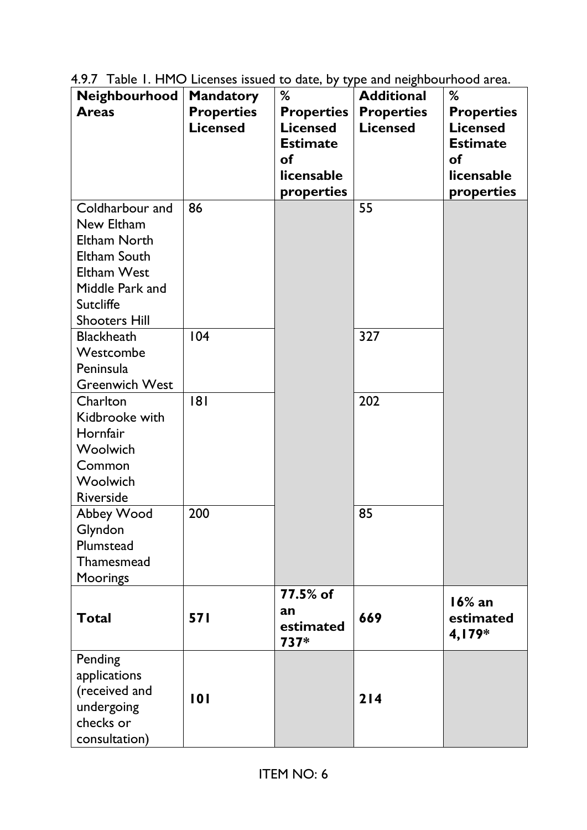|  |  | 4.9.7 Table 1. HMO Licenses issued to date, by type and neighbourhood area. |
|--|--|-----------------------------------------------------------------------------|
|  |  |                                                                             |

| Neighbourhood         | <b>Mandatory</b>  | %                 | <b>Additional</b> | %                 |
|-----------------------|-------------------|-------------------|-------------------|-------------------|
| <b>Areas</b>          | <b>Properties</b> | <b>Properties</b> | <b>Properties</b> | <b>Properties</b> |
|                       | <b>Licensed</b>   | <b>Licensed</b>   | <b>Licensed</b>   | <b>Licensed</b>   |
|                       |                   | <b>Estimate</b>   |                   | <b>Estimate</b>   |
|                       |                   | <b>of</b>         |                   | <b>of</b>         |
|                       |                   | licensable        |                   | licensable        |
|                       |                   | properties        |                   | properties        |
| Coldharbour and       | 86                |                   | 55                |                   |
| New Eltham            |                   |                   |                   |                   |
| <b>Eltham North</b>   |                   |                   |                   |                   |
| Eltham South          |                   |                   |                   |                   |
| Eltham West           |                   |                   |                   |                   |
| Middle Park and       |                   |                   |                   |                   |
| <b>Sutcliffe</b>      |                   |                   |                   |                   |
| <b>Shooters Hill</b>  |                   |                   |                   |                   |
| <b>Blackheath</b>     | 104               |                   | 327               |                   |
| Westcombe             |                   |                   |                   |                   |
| Peninsula             |                   |                   |                   |                   |
| <b>Greenwich West</b> |                   |                   |                   |                   |
| Charlton              | 181               |                   | 202               |                   |
| Kidbrooke with        |                   |                   |                   |                   |
| Hornfair              |                   |                   |                   |                   |
| Woolwich              |                   |                   |                   |                   |
| Common                |                   |                   |                   |                   |
| Woolwich              |                   |                   |                   |                   |
| <b>Riverside</b>      |                   |                   |                   |                   |
| Abbey Wood            | 200               |                   | 85                |                   |
| Glyndon               |                   |                   |                   |                   |
| Plumstead             |                   |                   |                   |                   |
| Thamesmead            |                   |                   |                   |                   |
| <b>Moorings</b>       |                   |                   |                   |                   |
|                       |                   | 77.5% of          |                   | $16%$ an          |
| <b>Total</b>          | <b>571</b>        | an                | 669               | estimated         |
|                       |                   | estimated         |                   | 4,179*            |
|                       |                   | 737*              |                   |                   |
| Pending               |                   |                   |                   |                   |
| applications          |                   |                   |                   |                   |
| (received and         | 101               |                   | 214               |                   |
| undergoing            |                   |                   |                   |                   |
| checks or             |                   |                   |                   |                   |
| consultation)         |                   |                   |                   |                   |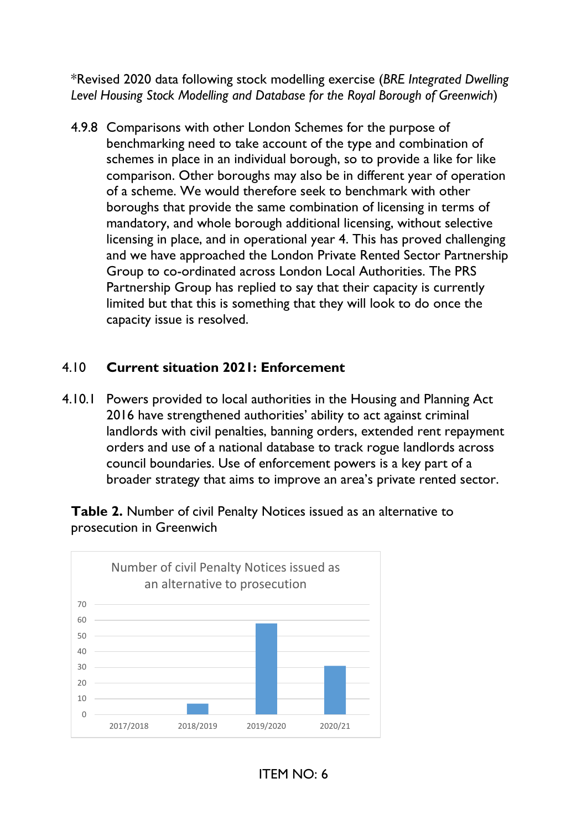\*Revised 2020 data following stock modelling exercise (*BRE Integrated Dwelling Level Housing Stock Modelling and Database for the Royal Borough of Greenwich*)

4.9.8 Comparisons with other London Schemes for the purpose of benchmarking need to take account of the type and combination of schemes in place in an individual borough, so to provide a like for like comparison. Other boroughs may also be in different year of operation of a scheme. We would therefore seek to benchmark with other boroughs that provide the same combination of licensing in terms of mandatory, and whole borough additional licensing, without selective licensing in place, and in operational year 4. This has proved challenging and we have approached the London Private Rented Sector Partnership Group to co-ordinated across London Local Authorities. The PRS Partnership Group has replied to say that their capacity is currently limited but that this is something that they will look to do once the capacity issue is resolved.

# 4.10 **Current situation 2021: Enforcement**

4.10.1 Powers provided to local authorities in the Housing and Planning Act 2016 have strengthened authorities' ability to act against criminal landlords with civil penalties, banning orders, extended rent repayment orders and use of a national database to track rogue landlords across council boundaries. Use of enforcement powers is a key part of a broader strategy that aims to improve an area's private rented sector.

**Table 2.** Number of civil Penalty Notices issued as an alternative to prosecution in Greenwich



ITEM NO: 6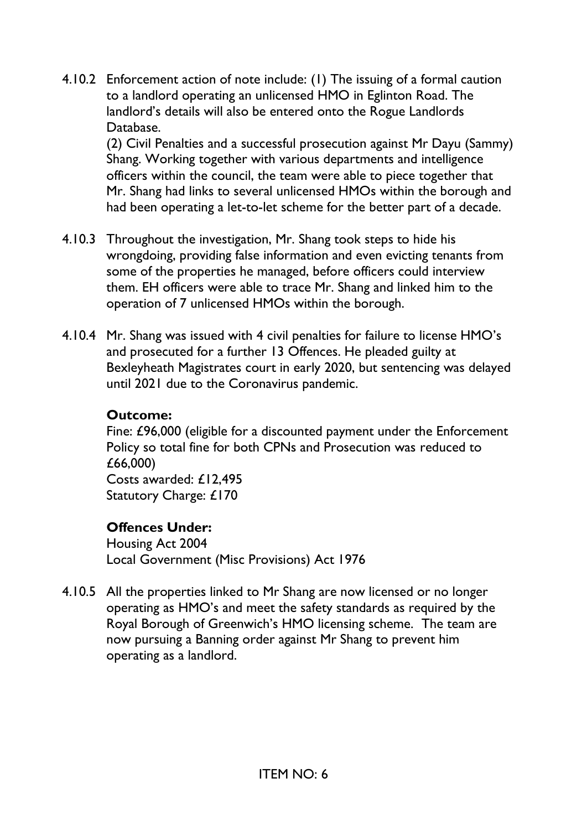4.10.2 Enforcement action of note include: (1) The issuing of a formal caution to a landlord operating an unlicensed HMO in Eglinton Road. The landlord's details will also be entered onto the Rogue Landlords Database.

(2) Civil Penalties and a successful prosecution against Mr Dayu (Sammy) Shang. Working together with various departments and intelligence officers within the council, the team were able to piece together that Mr. Shang had links to several unlicensed HMOs within the borough and had been operating a let-to-let scheme for the better part of a decade.

- 4.10.3 Throughout the investigation, Mr. Shang took steps to hide his wrongdoing, providing false information and even evicting tenants from some of the properties he managed, before officers could interview them. EH officers were able to trace Mr. Shang and linked him to the operation of 7 unlicensed HMOs within the borough.
- 4.10.4 Mr. Shang was issued with 4 civil penalties for failure to license HMO's and prosecuted for a further 13 Offences. He pleaded guilty at Bexleyheath Magistrates court in early 2020, but sentencing was delayed until 2021 due to the Coronavirus pandemic.

#### **Outcome:**

Fine: £96,000 (eligible for a discounted payment under the Enforcement Policy so total fine for both CPNs and Prosecution was reduced to £66,000) Costs awarded: £12,495 Statutory Charge: £170

# **Offences Under:**

Housing Act 2004 Local Government (Misc Provisions) Act 1976

4.10.5 All the properties linked to Mr Shang are now licensed or no longer operating as HMO's and meet the safety standards as required by the Royal Borough of Greenwich's HMO licensing scheme. The team are now pursuing a Banning order against Mr Shang to prevent him operating as a landlord.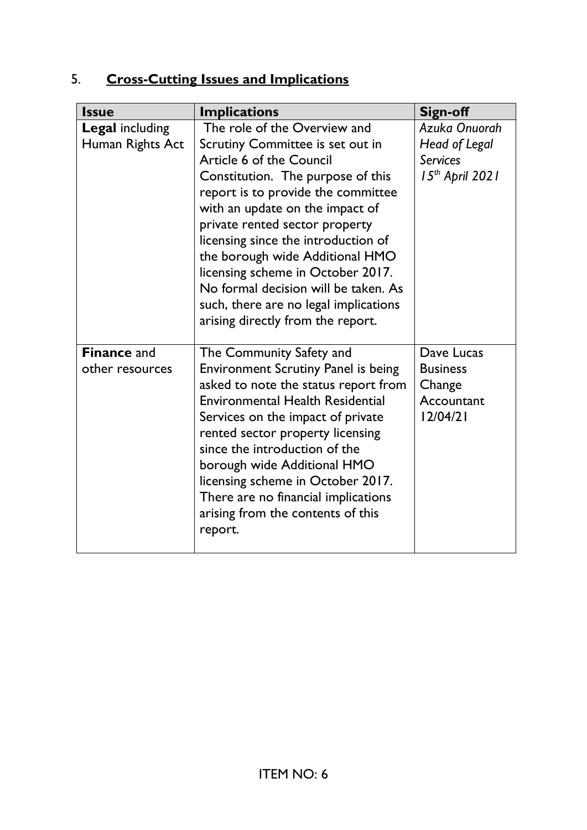# 5. **Cross-Cutting Issues and Implications**

| <b>Issue</b>           | <b>Implications</b>                        | Sign-off          |
|------------------------|--------------------------------------------|-------------------|
| <b>Legal including</b> | The role of the Overview and               | Azuka Onuorah     |
| Human Rights Act       | Scrutiny Committee is set out in           | Head of Legal     |
|                        | Article 6 of the Council                   | <b>Services</b>   |
|                        | Constitution. The purpose of this          | $15th$ April 2021 |
|                        | report is to provide the committee         |                   |
|                        | with an update on the impact of            |                   |
|                        | private rented sector property             |                   |
|                        | licensing since the introduction of        |                   |
|                        | the borough wide Additional HMO            |                   |
|                        | licensing scheme in October 2017.          |                   |
|                        | No formal decision will be taken. As       |                   |
|                        | such, there are no legal implications      |                   |
|                        | arising directly from the report.          |                   |
| <b>Finance and</b>     | The Community Safety and                   | Dave Lucas        |
| other resources        | <b>Environment Scrutiny Panel is being</b> | <b>Business</b>   |
|                        | asked to note the status report from       | Change            |
|                        | <b>Environmental Health Residential</b>    | Accountant        |
|                        | Services on the impact of private          | 12/04/21          |
|                        | rented sector property licensing           |                   |
|                        | since the introduction of the              |                   |
|                        | borough wide Additional HMO                |                   |
|                        | licensing scheme in October 2017.          |                   |
|                        | There are no financial implications        |                   |
|                        | arising from the contents of this          |                   |
|                        | report.                                    |                   |
|                        |                                            |                   |